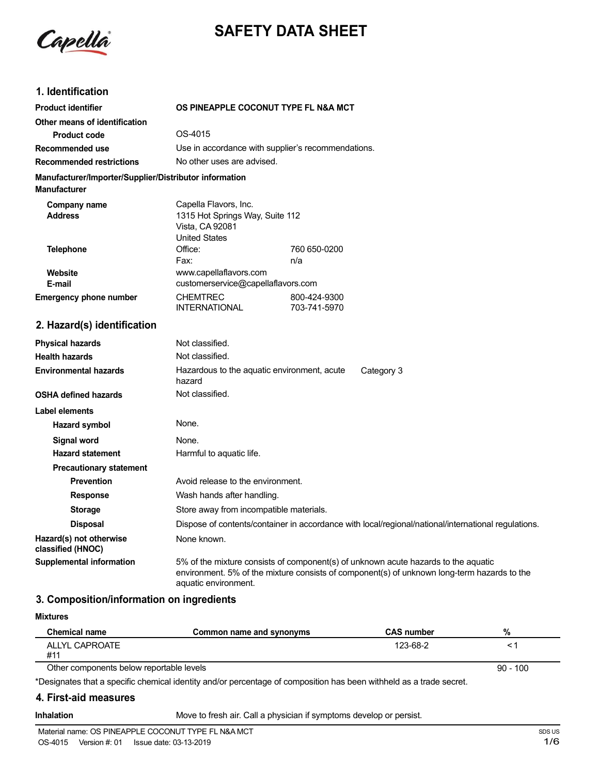

# **SAFETY DATA SHEET**

## **1. Identification**

| <b>Product identifier</b>                                                     | OS PINEAPPLE COCONUT TYPE FL N&A MCT                                                                |                                                                                                     |
|-------------------------------------------------------------------------------|-----------------------------------------------------------------------------------------------------|-----------------------------------------------------------------------------------------------------|
| Other means of identification                                                 |                                                                                                     |                                                                                                     |
| <b>Product code</b>                                                           | OS-4015                                                                                             |                                                                                                     |
| Recommended use                                                               |                                                                                                     | Use in accordance with supplier's recommendations.                                                  |
| <b>Recommended restrictions</b>                                               | No other uses are advised.                                                                          |                                                                                                     |
| Manufacturer/Importer/Supplier/Distributor information<br><b>Manufacturer</b> |                                                                                                     |                                                                                                     |
| Company name<br><b>Address</b>                                                | Capella Flavors, Inc.<br>1315 Hot Springs Way, Suite 112<br>Vista, CA 92081<br><b>United States</b> |                                                                                                     |
| <b>Telephone</b>                                                              | Office:<br>Fax:                                                                                     | 760 650-0200<br>n/a                                                                                 |
| Website<br>E-mail                                                             | www.capellaflavors.com<br>customerservice@capellaflavors.com                                        |                                                                                                     |
| <b>Emergency phone number</b>                                                 | <b>CHEMTREC</b><br><b>INTERNATIONAL</b>                                                             | 800-424-9300<br>703-741-5970                                                                        |
| 2. Hazard(s) identification                                                   |                                                                                                     |                                                                                                     |
| <b>Physical hazards</b>                                                       | Not classified.                                                                                     |                                                                                                     |
| <b>Health hazards</b>                                                         | Not classified.                                                                                     |                                                                                                     |
| <b>Environmental hazards</b>                                                  | Hazardous to the aquatic environment, acute<br>hazard                                               | Category 3                                                                                          |
| <b>OSHA defined hazards</b>                                                   | Not classified.                                                                                     |                                                                                                     |
| <b>Label elements</b>                                                         |                                                                                                     |                                                                                                     |
| Hazard symbol                                                                 | None.                                                                                               |                                                                                                     |
| <b>Signal word</b>                                                            | None.                                                                                               |                                                                                                     |
| <b>Hazard statement</b>                                                       | Harmful to aquatic life.                                                                            |                                                                                                     |
| <b>Precautionary statement</b>                                                |                                                                                                     |                                                                                                     |
| <b>Prevention</b>                                                             | Avoid release to the environment.                                                                   |                                                                                                     |
| <b>Response</b>                                                               | Wash hands after handling.                                                                          |                                                                                                     |
| <b>Storage</b>                                                                | Store away from incompatible materials.                                                             |                                                                                                     |
| <b>Disposal</b>                                                               |                                                                                                     | Dispose of contents/container in accordance with local/regional/national/international regulations. |
| Hazard(s) not otherwise                                                       | None known.                                                                                         |                                                                                                     |

**Supplemental information** 5% of the mixture consists of component(s) of unknown acute hazards to the aquatic environment. 5% of the mixture consists of component(s) of unknown long-term hazards to the aquatic environment.

## **3. Composition/information on ingredients**

#### **Mixtures**

**classified (HNOC)**

| Chemical name  | Common name and synonyms | <b>CAS number</b> | 70 |
|----------------|--------------------------|-------------------|----|
| ALLYL CAPROATE |                          | 123-68-2          |    |
| :#1            |                          |                   |    |

Other components below reportable levels

\*Designates that a specific chemical identity and/or percentage of composition has been withheld as a trade secret.

#### **4. First-aid measures**

**Inhalation** Move to fresh air. Call a physician if symptoms develop or persist.

90 - 100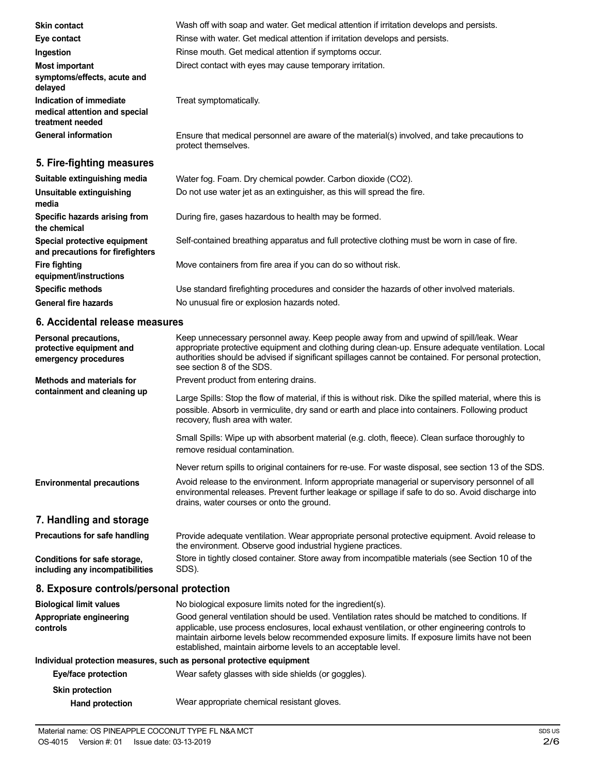| <b>Skin contact</b>                                                          | Wash off with soap and water. Get medical attention if irritation develops and persists.                            |
|------------------------------------------------------------------------------|---------------------------------------------------------------------------------------------------------------------|
| Eye contact                                                                  | Rinse with water. Get medical attention if irritation develops and persists.                                        |
| Ingestion                                                                    | Rinse mouth. Get medical attention if symptoms occur.                                                               |
| <b>Most important</b><br>symptoms/effects, acute and<br>delayed              | Direct contact with eyes may cause temporary irritation.                                                            |
| Indication of immediate<br>medical attention and special<br>treatment needed | Treat symptomatically.                                                                                              |
| <b>General information</b>                                                   | Ensure that medical personnel are aware of the material(s) involved, and take precautions to<br>protect themselves. |
| 5. Fire-fighting measures                                                    |                                                                                                                     |
| Suitable extinguishing media                                                 | Water fog. Foam. Dry chemical powder. Carbon dioxide (CO2).                                                         |
| Unsuitable extinguishing<br>media                                            | Do not use water jet as an extinguisher, as this will spread the fire.                                              |
| Specific hazards arising from<br>the chemical                                | During fire, gases hazardous to health may be formed.                                                               |
| Special protective equipment<br>and precautions for firefighters             | Self-contained breathing apparatus and full protective clothing must be worn in case of fire.                       |
| Fire fighting<br>equipment/instructions                                      | Move containers from fire area if you can do so without risk.                                                       |
| <b>Specific methods</b>                                                      | Use standard firefighting procedures and consider the hazards of other involved materials.                          |

No unusual fire or explosion hazards noted.

**General fire hazards**

## **6. Accidental release measures**

| Personal precautions,<br>protective equipment and<br>emergency procedures | Keep unnecessary personnel away. Keep people away from and upwind of spill/leak. Wear<br>appropriate protective equipment and clothing during clean-up. Ensure adequate ventilation. Local<br>authorities should be advised if significant spillages cannot be contained. For personal protection,<br>see section 8 of the SDS.                                    |  |
|---------------------------------------------------------------------------|--------------------------------------------------------------------------------------------------------------------------------------------------------------------------------------------------------------------------------------------------------------------------------------------------------------------------------------------------------------------|--|
| <b>Methods and materials for</b>                                          | Prevent product from entering drains.                                                                                                                                                                                                                                                                                                                              |  |
| containment and cleaning up                                               | Large Spills: Stop the flow of material, if this is without risk. Dike the spilled material, where this is<br>possible. Absorb in vermiculite, dry sand or earth and place into containers. Following product<br>recovery, flush area with water.                                                                                                                  |  |
|                                                                           | Small Spills: Wipe up with absorbent material (e.g. cloth, fleece). Clean surface thoroughly to<br>remove residual contamination.                                                                                                                                                                                                                                  |  |
|                                                                           | Never return spills to original containers for re-use. For waste disposal, see section 13 of the SDS.                                                                                                                                                                                                                                                              |  |
| <b>Environmental precautions</b>                                          | Avoid release to the environment. Inform appropriate managerial or supervisory personnel of all<br>environmental releases. Prevent further leakage or spillage if safe to do so. Avoid discharge into<br>drains, water courses or onto the ground.                                                                                                                 |  |
| 7. Handling and storage                                                   |                                                                                                                                                                                                                                                                                                                                                                    |  |
| <b>Precautions for safe handling</b>                                      | Provide adequate ventilation. Wear appropriate personal protective equipment. Avoid release to<br>the environment. Observe good industrial hygiene practices.                                                                                                                                                                                                      |  |
| Conditions for safe storage,<br>including any incompatibilities           | Store in tightly closed container. Store away from incompatible materials (see Section 10 of the<br>SDS).                                                                                                                                                                                                                                                          |  |
| 8. Exposure controls/personal protection                                  |                                                                                                                                                                                                                                                                                                                                                                    |  |
| <b>Biological limit values</b>                                            | No biological exposure limits noted for the ingredient(s).                                                                                                                                                                                                                                                                                                         |  |
| Appropriate engineering<br>controls                                       | Good general ventilation should be used. Ventilation rates should be matched to conditions. If<br>applicable, use process enclosures, local exhaust ventilation, or other engineering controls to<br>maintain airborne levels below recommended exposure limits. If exposure limits have not been<br>established, maintain airborne levels to an acceptable level. |  |
| Individual protection measures, such as personal protective equipment     |                                                                                                                                                                                                                                                                                                                                                                    |  |
| Evalfono protoction                                                       | Moar safaty glasses with side shields (or geogles)                                                                                                                                                                                                                                                                                                                 |  |

| Eye/face protection    | Wear safety glasses with side shields (or goggles). |
|------------------------|-----------------------------------------------------|
| <b>Skin protection</b> |                                                     |
| <b>Hand protection</b> | Wear appropriate chemical resistant gloves.         |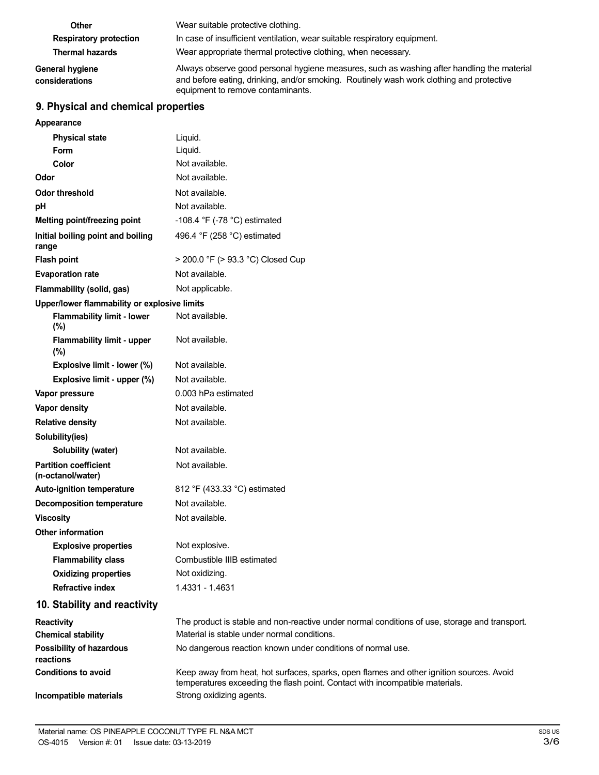| Other                             | Wear suitable protective clothing.                                                                                                                                                                                          |
|-----------------------------------|-----------------------------------------------------------------------------------------------------------------------------------------------------------------------------------------------------------------------------|
| <b>Respiratory protection</b>     | In case of insufficient ventilation, wear suitable respiratory equipment.                                                                                                                                                   |
| <b>Thermal hazards</b>            | Wear appropriate thermal protective clothing, when necessary.                                                                                                                                                               |
| General hygiene<br>considerations | Always observe good personal hygiene measures, such as washing after handling the material<br>and before eating, drinking, and/or smoking. Routinely wash work clothing and protective<br>equipment to remove contaminants. |

## **9. Physical and chemical properties**

| Appearance                                        |                                                                       |
|---------------------------------------------------|-----------------------------------------------------------------------|
| <b>Physical state</b>                             | Liquid.                                                               |
| <b>Form</b>                                       | Liquid.                                                               |
| Color                                             | Not available.                                                        |
| Odor                                              | Not available.                                                        |
| <b>Odor threshold</b>                             | Not available.                                                        |
| pH                                                | Not available.                                                        |
| <b>Melting point/freezing point</b>               | -108.4 °F (-78 °C) estimated                                          |
| Initial boiling point and boiling<br>range        | 496.4 °F (258 °C) estimated                                           |
| <b>Flash point</b>                                | > 200.0 °F (> 93.3 °C) Closed Cup                                     |
| <b>Evaporation rate</b>                           | Not available.                                                        |
| Flammability (solid, gas)                         | Not applicable.                                                       |
| Upper/lower flammability or explosive limits      |                                                                       |
| <b>Flammability limit - lower</b><br>(%)          | Not available.                                                        |
| <b>Flammability limit - upper</b><br>(%)          | Not available.                                                        |
| Explosive limit - lower (%)                       | Not available.                                                        |
| Explosive limit - upper (%)                       | Not available.                                                        |
| Vapor pressure                                    | 0.003 hPa estimated                                                   |
| Vapor density                                     | Not available.                                                        |
| <b>Relative density</b>                           | Not available.                                                        |
| Solubility(ies)                                   |                                                                       |
| Solubility (water)                                | Not available.                                                        |
| <b>Partition coefficient</b><br>(n-octanol/water) | Not available.                                                        |
| <b>Auto-ignition temperature</b>                  | 812 °F (433.33 °C) estimated                                          |
| <b>Decomposition temperature</b>                  | Not available.                                                        |
| <b>Viscosity</b>                                  | Not available.                                                        |
| <b>Other information</b>                          |                                                                       |
| <b>Explosive properties</b>                       | Not explosive.                                                        |
| <b>Flammability class</b>                         | Combustible IIIB estimated                                            |
| <b>Oxidizing properties</b>                       | Not oxidizing.                                                        |
| <b>Refractive index</b>                           | 1.4331 - 1.4631                                                       |
| 10. Stability and reactivity                      |                                                                       |
| Reactivity                                        | The product is stable and non-reactive under normal conditions of use |
| <b>Chemical stability</b>                         | Material is stable under normal conditions.                           |
|                                                   |                                                                       |

**Possibility of hazardous reactions Conditions to avoid Incompatible materials** e, storage and transport<mark>.</mark> No dangerous reaction known under conditions of normal use. Keep away from heat, hot surfaces, sparks, open flames and other ignition sources. Avoid temperatures exceeding the flash point. Contact with incompatible materials. Strong oxidizing agents.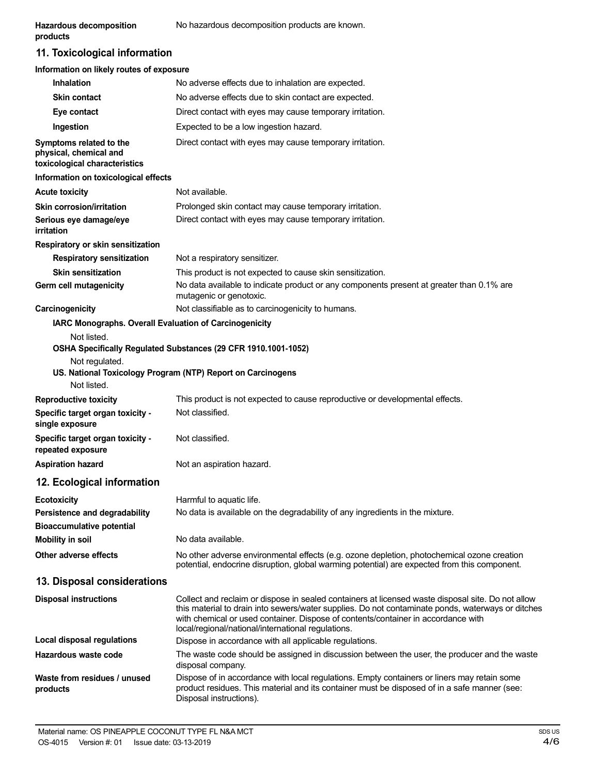## **11. Toxicological information**

|  | Information on likely routes of exposure |
|--|------------------------------------------|
|--|------------------------------------------|

| <b>Inhalation</b>                                                                  | No adverse effects due to inhalation are expected.                                                                                                                                                                                                                                                                                                |
|------------------------------------------------------------------------------------|---------------------------------------------------------------------------------------------------------------------------------------------------------------------------------------------------------------------------------------------------------------------------------------------------------------------------------------------------|
| <b>Skin contact</b>                                                                | No adverse effects due to skin contact are expected.                                                                                                                                                                                                                                                                                              |
| Eye contact                                                                        | Direct contact with eyes may cause temporary irritation.                                                                                                                                                                                                                                                                                          |
| Ingestion                                                                          | Expected to be a low ingestion hazard.                                                                                                                                                                                                                                                                                                            |
| Symptoms related to the<br>physical, chemical and<br>toxicological characteristics | Direct contact with eyes may cause temporary irritation.                                                                                                                                                                                                                                                                                          |
| Information on toxicological effects                                               |                                                                                                                                                                                                                                                                                                                                                   |
| <b>Acute toxicity</b>                                                              | Not available.                                                                                                                                                                                                                                                                                                                                    |
| Skin corrosion/irritation                                                          | Prolonged skin contact may cause temporary irritation.                                                                                                                                                                                                                                                                                            |
| Serious eye damage/eye<br>irritation                                               | Direct contact with eyes may cause temporary irritation.                                                                                                                                                                                                                                                                                          |
| Respiratory or skin sensitization                                                  |                                                                                                                                                                                                                                                                                                                                                   |
| <b>Respiratory sensitization</b>                                                   | Not a respiratory sensitizer.                                                                                                                                                                                                                                                                                                                     |
| <b>Skin sensitization</b>                                                          | This product is not expected to cause skin sensitization.                                                                                                                                                                                                                                                                                         |
| Germ cell mutagenicity                                                             | No data available to indicate product or any components present at greater than 0.1% are<br>mutagenic or genotoxic.                                                                                                                                                                                                                               |
| Carcinogenicity                                                                    | Not classifiable as to carcinogenicity to humans.                                                                                                                                                                                                                                                                                                 |
| IARC Monographs. Overall Evaluation of Carcinogenicity                             |                                                                                                                                                                                                                                                                                                                                                   |
| Not listed.                                                                        |                                                                                                                                                                                                                                                                                                                                                   |
|                                                                                    | OSHA Specifically Regulated Substances (29 CFR 1910.1001-1052)                                                                                                                                                                                                                                                                                    |
| Not regulated.                                                                     | US. National Toxicology Program (NTP) Report on Carcinogens                                                                                                                                                                                                                                                                                       |
| Not listed.                                                                        |                                                                                                                                                                                                                                                                                                                                                   |
| <b>Reproductive toxicity</b>                                                       | This product is not expected to cause reproductive or developmental effects.                                                                                                                                                                                                                                                                      |
| Specific target organ toxicity -<br>single exposure                                | Not classified.                                                                                                                                                                                                                                                                                                                                   |
| Specific target organ toxicity -<br>repeated exposure                              | Not classified.                                                                                                                                                                                                                                                                                                                                   |
| <b>Aspiration hazard</b>                                                           | Not an aspiration hazard.                                                                                                                                                                                                                                                                                                                         |
| 12. Ecological information                                                         |                                                                                                                                                                                                                                                                                                                                                   |
| <b>Ecotoxicity</b>                                                                 | Harmful to aquatic life.                                                                                                                                                                                                                                                                                                                          |
| Persistence and degradability                                                      | No data is available on the degradability of any ingredients in the mixture.                                                                                                                                                                                                                                                                      |
| <b>Bioaccumulative potential</b>                                                   |                                                                                                                                                                                                                                                                                                                                                   |
| <b>Mobility in soil</b>                                                            | No data available.                                                                                                                                                                                                                                                                                                                                |
| Other adverse effects                                                              | No other adverse environmental effects (e.g. ozone depletion, photochemical ozone creation<br>potential, endocrine disruption, global warming potential) are expected from this component.                                                                                                                                                        |
| 13. Disposal considerations                                                        |                                                                                                                                                                                                                                                                                                                                                   |
| <b>Disposal instructions</b>                                                       | Collect and reclaim or dispose in sealed containers at licensed waste disposal site. Do not allow<br>this material to drain into sewers/water supplies. Do not contaminate ponds, waterways or ditches<br>with chemical or used container. Dispose of contents/container in accordance with<br>local/regional/national/international regulations. |
| Local disposal regulations                                                         | Dispose in accordance with all applicable regulations.                                                                                                                                                                                                                                                                                            |
| Hazardous waste code                                                               | The waste code should be assigned in discussion between the user, the producer and the waste<br>disposal company.                                                                                                                                                                                                                                 |
| Waste from residues / unused<br>products                                           | Dispose of in accordance with local regulations. Empty containers or liners may retain some<br>product residues. This material and its container must be disposed of in a safe manner (see:<br>Disposal instructions).                                                                                                                            |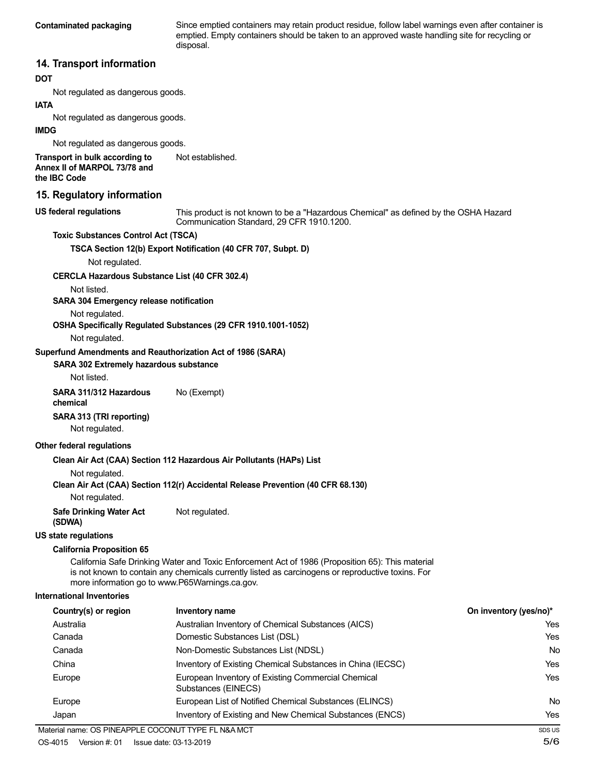**Contaminated packaging** Since emptied containers may retain product residue, follow label warnings even after container is emptied. Empty containers should be taken to an approved waste handling site for recycling or disposal.

### **14. Transport information**

#### **DOT**

Not regulated as dangerous goods.

#### **IATA**

Not regulated as dangerous goods.

#### **IMDG**

Not regulated as dangerous goods.

#### **Transport in bulk according to Annex II of MARPOL 73/78 and the IBC Code**

#### **15. Regulatory information**

#### **US federal regulations**

This product is not known to be a "Hazardous Chemical" as defined by the OSHA Hazard Communication Standard, 29 CFR 1910.1200.

#### **Toxic Substances Control Act (TSCA)**

**TSCA Section 12(b) Export Notification (40 CFR 707, Subpt. D)**

Not established.

Not regulated.

#### **CERCLA Hazardous Substance List (40 CFR 302.4)**

Not listed.

#### **SARA 304 Emergency release notification**

Not regulated.

#### **OSHA Specifically Regulated Substances (29 CFR 1910.1001-1052)**

Not regulated.

#### **Superfund Amendments and Reauthorization Act of 1986 (SARA)**

#### **SARA 302 Extremely hazardous substance**

Not listed.

### **SARA 311/312 Hazardous** No (Exempt)

**chemical**

#### **SARA 313 (TRI reporting)**

Not regulated.

#### **Other federal regulations**

#### **Clean Air Act (CAA) Section 112 Hazardous Air Pollutants (HAPs) List**

Not regulated.

#### **Clean Air Act (CAA) Section 112(r) Accidental Release Prevention (40 CFR 68.130)**

Not regulated.

#### **Safe Drinking Water Act** Not regulated. **(SDWA)**

**US state regulations**

## **California Proposition 65**

California Safe Drinking Water and Toxic Enforcement Act of 1986 (Proposition 65): This material is not known to contain any chemicals currently listed as carcinogens or reproductive toxins. For more information go to www.P65Warnings.ca.gov.

#### **International Inventories**

| Country(s) or region | Inventory name                                                            | On inventory (yes/no)* |
|----------------------|---------------------------------------------------------------------------|------------------------|
| Australia            | Australian Inventory of Chemical Substances (AICS)                        | Yes                    |
| Canada               | Domestic Substances List (DSL)                                            | Yes                    |
| Canada               | Non-Domestic Substances List (NDSL)                                       | No                     |
| China                | Inventory of Existing Chemical Substances in China (IECSC)                | Yes                    |
| Europe               | European Inventory of Existing Commercial Chemical<br>Substances (EINECS) | Yes                    |
| Europe               | European List of Notified Chemical Substances (ELINCS)                    | No                     |
| Japan                | Inventory of Existing and New Chemical Substances (ENCS)                  | Yes                    |